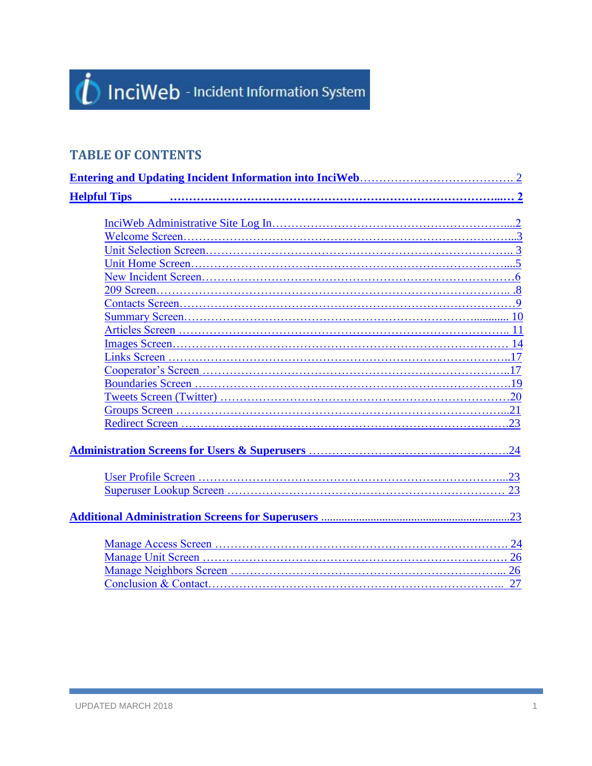## *i* InciWeb - Incident Information System

## **TABLE OF CONTENTS**

| <b>Helpful Tips</b> |  |
|---------------------|--|
|                     |  |
|                     |  |
|                     |  |
|                     |  |
|                     |  |
|                     |  |
|                     |  |
|                     |  |
|                     |  |
|                     |  |
|                     |  |
|                     |  |
|                     |  |
|                     |  |
|                     |  |
|                     |  |
|                     |  |
|                     |  |
|                     |  |
|                     |  |
|                     |  |
|                     |  |
|                     |  |
|                     |  |
|                     |  |
|                     |  |
|                     |  |
|                     |  |
|                     |  |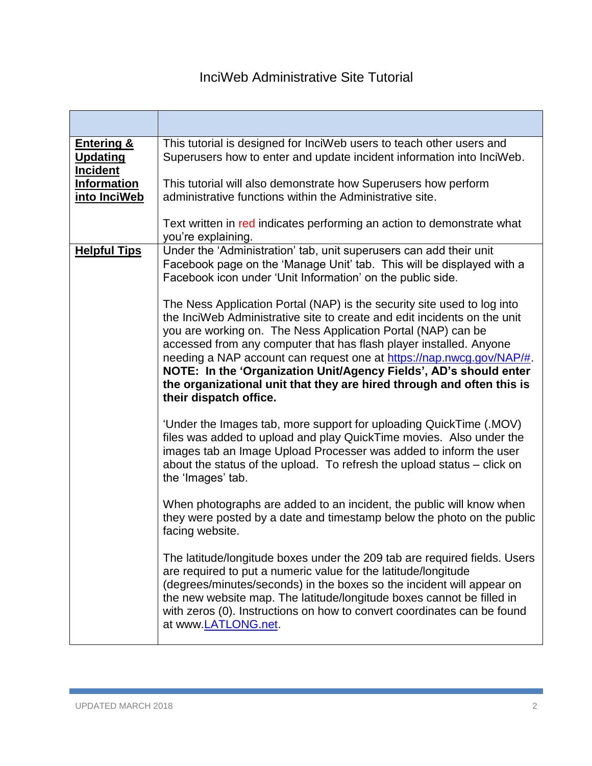<span id="page-1-1"></span><span id="page-1-0"></span>

| <b>Entering &amp;</b><br><b>Updating</b><br><b>Incident</b> | This tutorial is designed for InciWeb users to teach other users and<br>Superusers how to enter and update incident information into InciWeb.                                                                                                                                                                                                                                                                                                                                                                                             |
|-------------------------------------------------------------|-------------------------------------------------------------------------------------------------------------------------------------------------------------------------------------------------------------------------------------------------------------------------------------------------------------------------------------------------------------------------------------------------------------------------------------------------------------------------------------------------------------------------------------------|
| <b>Information</b><br>into InciWeb                          | This tutorial will also demonstrate how Superusers how perform<br>administrative functions within the Administrative site.                                                                                                                                                                                                                                                                                                                                                                                                                |
|                                                             | Text written in red indicates performing an action to demonstrate what<br>you're explaining.                                                                                                                                                                                                                                                                                                                                                                                                                                              |
| <b>Helpful Tips</b>                                         | Under the 'Administration' tab, unit superusers can add their unit<br>Facebook page on the 'Manage Unit' tab. This will be displayed with a<br>Facebook icon under 'Unit Information' on the public side.                                                                                                                                                                                                                                                                                                                                 |
|                                                             | The Ness Application Portal (NAP) is the security site used to log into<br>the InciWeb Administrative site to create and edit incidents on the unit<br>you are working on. The Ness Application Portal (NAP) can be<br>accessed from any computer that has flash player installed. Anyone<br>needing a NAP account can request one at https://nap.nwcg.gov/NAP/#.<br>NOTE: In the 'Organization Unit/Agency Fields', AD's should enter<br>the organizational unit that they are hired through and often this is<br>their dispatch office. |
|                                                             | 'Under the Images tab, more support for uploading QuickTime (.MOV)<br>files was added to upload and play QuickTime movies. Also under the<br>images tab an Image Upload Processer was added to inform the user<br>about the status of the upload. To refresh the upload status – click on<br>the 'Images' tab.                                                                                                                                                                                                                            |
|                                                             | When photographs are added to an incident, the public will know when<br>they were posted by a date and timestamp below the photo on the public<br>facing website.                                                                                                                                                                                                                                                                                                                                                                         |
|                                                             | The latitude/longitude boxes under the 209 tab are required fields. Users<br>are required to put a numeric value for the latitude/longitude<br>(degrees/minutes/seconds) in the boxes so the incident will appear on<br>the new website map. The latitude/longitude boxes cannot be filled in<br>with zeros (0). Instructions on how to convert coordinates can be found<br>at www.LATLONG.net.                                                                                                                                           |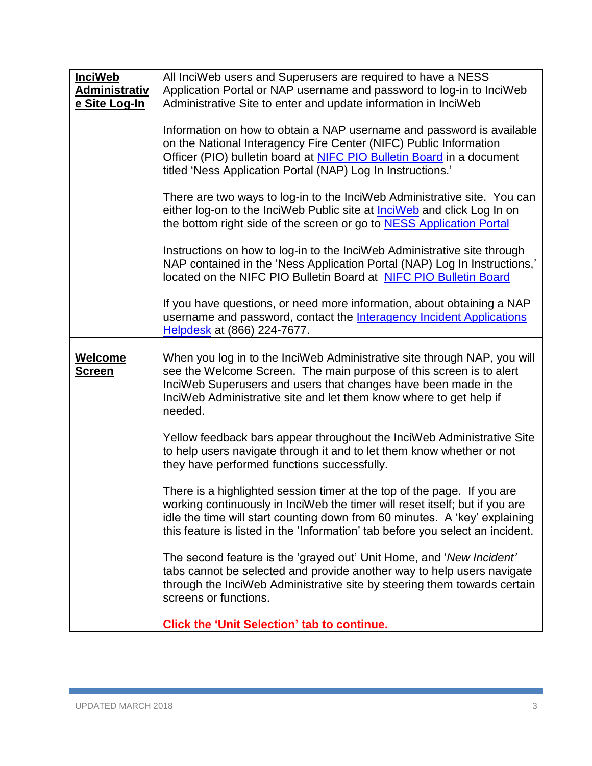<span id="page-2-0"></span>

| <b>InciWeb</b>                  | All InciWeb users and Superusers are required to have a NESS                                                                                                                                                                                                                                                           |
|---------------------------------|------------------------------------------------------------------------------------------------------------------------------------------------------------------------------------------------------------------------------------------------------------------------------------------------------------------------|
| <b>Administrativ</b>            | Application Portal or NAP username and password to log-in to InciWeb                                                                                                                                                                                                                                                   |
| e Site Log-In                   | Administrative Site to enter and update information in InciWeb                                                                                                                                                                                                                                                         |
|                                 | Information on how to obtain a NAP username and password is available<br>on the National Interagency Fire Center (NIFC) Public Information<br>Officer (PIO) bulletin board at NIFC PIO Bulletin Board in a document<br>titled 'Ness Application Portal (NAP) Log In Instructions.'                                     |
|                                 | There are two ways to log-in to the InciWeb Administrative site. You can<br>either log-on to the InciWeb Public site at <b>InciWeb</b> and click Log In on<br>the bottom right side of the screen or go to <b>NESS</b> Application Portal                                                                              |
|                                 | Instructions on how to log-in to the InciWeb Administrative site through<br>NAP contained in the 'Ness Application Portal (NAP) Log In Instructions,'<br>located on the NIFC PIO Bulletin Board at NIFC PIO Bulletin Board                                                                                             |
|                                 | If you have questions, or need more information, about obtaining a NAP<br>username and password, contact the Interagency Incident Applications<br>Helpdesk at (866) 224-7677.                                                                                                                                          |
| <b>Welcome</b><br><b>Screen</b> | When you log in to the InciWeb Administrative site through NAP, you will<br>see the Welcome Screen. The main purpose of this screen is to alert<br>InciWeb Superusers and users that changes have been made in the<br>InciWeb Administrative site and let them know where to get help if<br>needed.                    |
|                                 | Yellow feedback bars appear throughout the InciWeb Administrative Site<br>to help users navigate through it and to let them know whether or not<br>they have performed functions successfully.                                                                                                                         |
|                                 | There is a highlighted session timer at the top of the page. If you are<br>working continuously in InciWeb the timer will reset itself; but if you are<br>idle the time will start counting down from 60 minutes. A 'key' explaining<br>this feature is listed in the 'Information' tab before you select an incident. |
|                                 | The second feature is the 'grayed out' Unit Home, and 'New Incident'<br>tabs cannot be selected and provide another way to help users navigate<br>through the InciWeb Administrative site by steering them towards certain<br>screens or functions.                                                                    |
|                                 | <b>Click the 'Unit Selection' tab to continue.</b>                                                                                                                                                                                                                                                                     |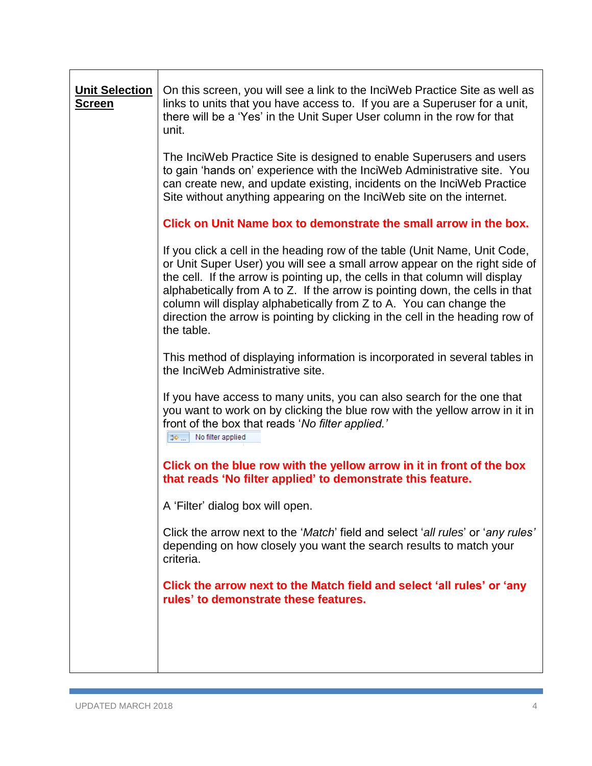<span id="page-3-0"></span>

| <b>Unit Selection</b><br><u>Screen</u> | On this screen, you will see a link to the InciWeb Practice Site as well as<br>links to units that you have access to. If you are a Superuser for a unit,<br>there will be a 'Yes' in the Unit Super User column in the row for that<br>unit.                                                                                                                                                                                                                                                 |
|----------------------------------------|-----------------------------------------------------------------------------------------------------------------------------------------------------------------------------------------------------------------------------------------------------------------------------------------------------------------------------------------------------------------------------------------------------------------------------------------------------------------------------------------------|
|                                        | The InciWeb Practice Site is designed to enable Superusers and users<br>to gain 'hands on' experience with the InciWeb Administrative site. You<br>can create new, and update existing, incidents on the InciWeb Practice<br>Site without anything appearing on the InciWeb site on the internet.                                                                                                                                                                                             |
|                                        | Click on Unit Name box to demonstrate the small arrow in the box.                                                                                                                                                                                                                                                                                                                                                                                                                             |
|                                        | If you click a cell in the heading row of the table (Unit Name, Unit Code,<br>or Unit Super User) you will see a small arrow appear on the right side of<br>the cell. If the arrow is pointing up, the cells in that column will display<br>alphabetically from A to Z. If the arrow is pointing down, the cells in that<br>column will display alphabetically from Z to A. You can change the<br>direction the arrow is pointing by clicking in the cell in the heading row of<br>the table. |
|                                        | This method of displaying information is incorporated in several tables in<br>the InciWeb Administrative site.                                                                                                                                                                                                                                                                                                                                                                                |
|                                        | If you have access to many units, you can also search for the one that<br>you want to work on by clicking the blue row with the yellow arrow in it in<br>front of the box that reads 'No filter applied.'<br>াঞ্চ  No filter applied                                                                                                                                                                                                                                                          |
|                                        | Click on the blue row with the yellow arrow in it in front of the box<br>that reads 'No filter applied' to demonstrate this feature.                                                                                                                                                                                                                                                                                                                                                          |
|                                        | A 'Filter' dialog box will open.                                                                                                                                                                                                                                                                                                                                                                                                                                                              |
|                                        | Click the arrow next to the 'Match' field and select 'all rules' or 'any rules'<br>depending on how closely you want the search results to match your<br>criteria.                                                                                                                                                                                                                                                                                                                            |
|                                        | Click the arrow next to the Match field and select 'all rules' or 'any<br>rules' to demonstrate these features.                                                                                                                                                                                                                                                                                                                                                                               |
|                                        |                                                                                                                                                                                                                                                                                                                                                                                                                                                                                               |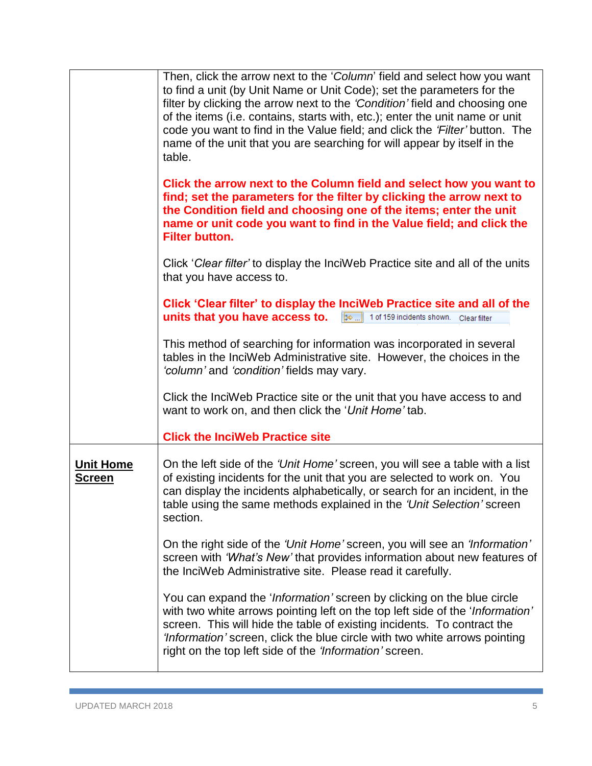<span id="page-4-0"></span>

| Then, click the arrow next to the 'Column' field and select how you want<br>to find a unit (by Unit Name or Unit Code); set the parameters for the<br>filter by clicking the arrow next to the 'Condition' field and choosing one<br>of the items (i.e. contains, starts with, etc.); enter the unit name or unit<br>code you want to find in the Value field; and click the 'Filter' button. The<br>name of the unit that you are searching for will appear by itself in the<br>table. |
|-----------------------------------------------------------------------------------------------------------------------------------------------------------------------------------------------------------------------------------------------------------------------------------------------------------------------------------------------------------------------------------------------------------------------------------------------------------------------------------------|
| Click the arrow next to the Column field and select how you want to<br>find; set the parameters for the filter by clicking the arrow next to<br>the Condition field and choosing one of the items; enter the unit<br>name or unit code you want to find in the Value field; and click the<br><b>Filter button.</b>                                                                                                                                                                      |
| Click 'Clear filter' to display the InciWeb Practice site and all of the units<br>that you have access to.                                                                                                                                                                                                                                                                                                                                                                              |
| Click 'Clear filter' to display the InciWeb Practice site and all of the<br>units that you have access to. $\left[\mathbb{R}\right]$ 1 of 159 incidents shown. Clear filter                                                                                                                                                                                                                                                                                                             |
| This method of searching for information was incorporated in several<br>tables in the InciWeb Administrative site. However, the choices in the<br>'column' and 'condition' fields may vary.                                                                                                                                                                                                                                                                                             |
| Click the InciWeb Practice site or the unit that you have access to and<br>want to work on, and then click the 'Unit Home' tab.                                                                                                                                                                                                                                                                                                                                                         |
| <b>Click the InciWeb Practice site</b>                                                                                                                                                                                                                                                                                                                                                                                                                                                  |
| On the left side of the 'Unit Home' screen, you will see a table with a list<br>of existing incidents for the unit that you are selected to work on. You<br>can display the incidents alphabetically, or search for an incident, in the<br>table using the same methods explained in the 'Unit Selection' screen<br>section.                                                                                                                                                            |
| On the right side of the 'Unit Home' screen, you will see an 'Information'<br>screen with 'What's New' that provides information about new features of<br>the InciWeb Administrative site. Please read it carefully.                                                                                                                                                                                                                                                                    |
| You can expand the ' <i>Information'</i> screen by clicking on the blue circle<br>with two white arrows pointing left on the top left side of the 'Information'<br>screen. This will hide the table of existing incidents. To contract the<br>'Information' screen, click the blue circle with two white arrows pointing<br>right on the top left side of the 'Information' screen.                                                                                                     |
|                                                                                                                                                                                                                                                                                                                                                                                                                                                                                         |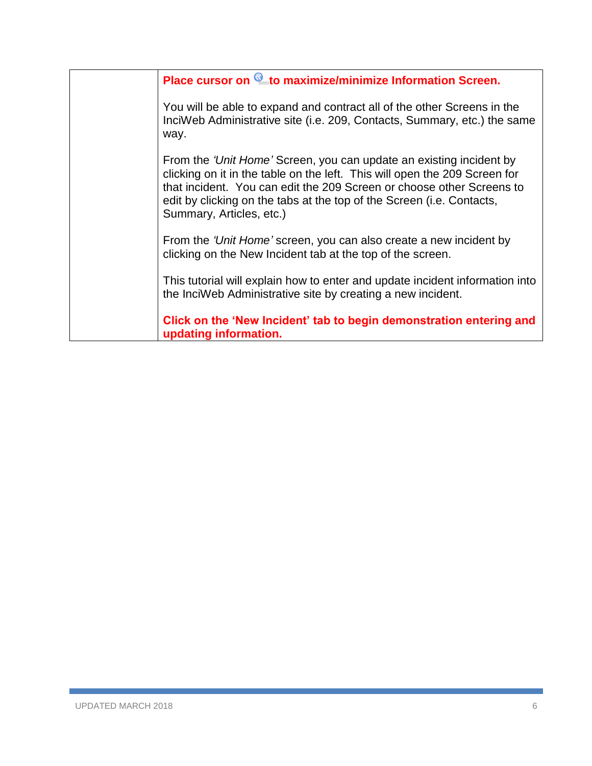<span id="page-5-0"></span>

| Place cursor on Lto maximize/minimize Information Screen.                                                                                                                                                                                                                                                                       |
|---------------------------------------------------------------------------------------------------------------------------------------------------------------------------------------------------------------------------------------------------------------------------------------------------------------------------------|
| You will be able to expand and contract all of the other Screens in the<br>InciWeb Administrative site (i.e. 209, Contacts, Summary, etc.) the same<br>way.                                                                                                                                                                     |
| From the 'Unit Home' Screen, you can update an existing incident by<br>clicking on it in the table on the left. This will open the 209 Screen for<br>that incident. You can edit the 209 Screen or choose other Screens to<br>edit by clicking on the tabs at the top of the Screen (i.e. Contacts,<br>Summary, Articles, etc.) |
| From the 'Unit Home' screen, you can also create a new incident by<br>clicking on the New Incident tab at the top of the screen.                                                                                                                                                                                                |
| This tutorial will explain how to enter and update incident information into<br>the InciWeb Administrative site by creating a new incident.                                                                                                                                                                                     |
| Click on the 'New Incident' tab to begin demonstration entering and<br>updating information.                                                                                                                                                                                                                                    |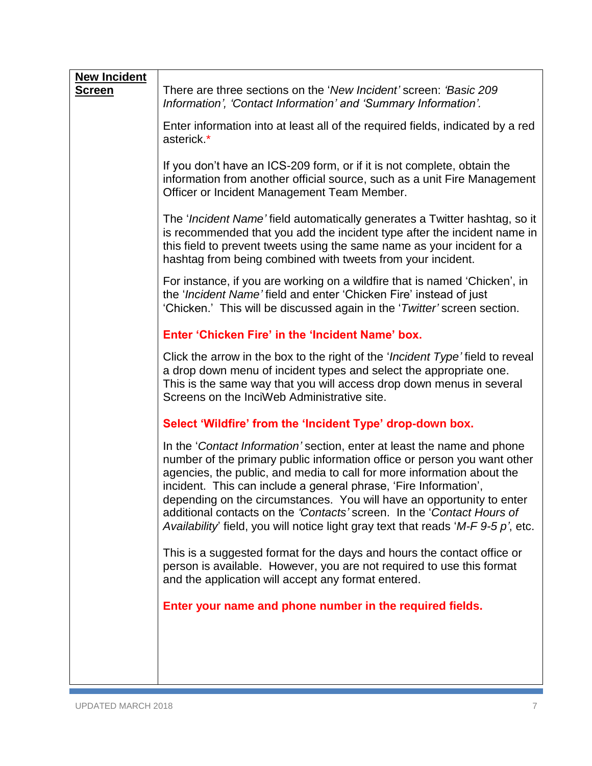| <b>New Incident</b> |                                                                                                                                                                                                                                                                                                                                                                                                                                                                                                                                              |
|---------------------|----------------------------------------------------------------------------------------------------------------------------------------------------------------------------------------------------------------------------------------------------------------------------------------------------------------------------------------------------------------------------------------------------------------------------------------------------------------------------------------------------------------------------------------------|
| <b>Screen</b>       | There are three sections on the 'New Incident' screen: 'Basic 209<br>Information', 'Contact Information' and 'Summary Information'.                                                                                                                                                                                                                                                                                                                                                                                                          |
|                     | Enter information into at least all of the required fields, indicated by a red<br>asterick.*                                                                                                                                                                                                                                                                                                                                                                                                                                                 |
|                     | If you don't have an ICS-209 form, or if it is not complete, obtain the<br>information from another official source, such as a unit Fire Management<br>Officer or Incident Management Team Member.                                                                                                                                                                                                                                                                                                                                           |
|                     | The ' <i>Incident Name'</i> field automatically generates a Twitter hashtag, so it<br>is recommended that you add the incident type after the incident name in<br>this field to prevent tweets using the same name as your incident for a<br>hashtag from being combined with tweets from your incident.                                                                                                                                                                                                                                     |
|                     | For instance, if you are working on a wildfire that is named 'Chicken', in<br>the 'Incident Name' field and enter 'Chicken Fire' instead of just<br>'Chicken.' This will be discussed again in the 'Twitter' screen section.                                                                                                                                                                                                                                                                                                                 |
|                     | Enter 'Chicken Fire' in the 'Incident Name' box.                                                                                                                                                                                                                                                                                                                                                                                                                                                                                             |
|                     | Click the arrow in the box to the right of the ' <i>Incident Type'</i> field to reveal<br>a drop down menu of incident types and select the appropriate one.<br>This is the same way that you will access drop down menus in several<br>Screens on the InciWeb Administrative site.                                                                                                                                                                                                                                                          |
|                     | Select 'Wildfire' from the 'Incident Type' drop-down box.                                                                                                                                                                                                                                                                                                                                                                                                                                                                                    |
|                     | In the 'Contact Information' section, enter at least the name and phone<br>number of the primary public information office or person you want other<br>agencies, the public, and media to call for more information about the<br>incident. This can include a general phrase, 'Fire Information',<br>depending on the circumstances. You will have an opportunity to enter<br>additional contacts on the 'Contacts' screen. In the 'Contact Hours of<br>Availability' field, you will notice light gray text that reads 'M-F $9-5 p$ ', etc. |
|                     | This is a suggested format for the days and hours the contact office or<br>person is available. However, you are not required to use this format<br>and the application will accept any format entered.                                                                                                                                                                                                                                                                                                                                      |
|                     | Enter your name and phone number in the required fields.                                                                                                                                                                                                                                                                                                                                                                                                                                                                                     |
|                     |                                                                                                                                                                                                                                                                                                                                                                                                                                                                                                                                              |
|                     |                                                                                                                                                                                                                                                                                                                                                                                                                                                                                                                                              |
|                     |                                                                                                                                                                                                                                                                                                                                                                                                                                                                                                                                              |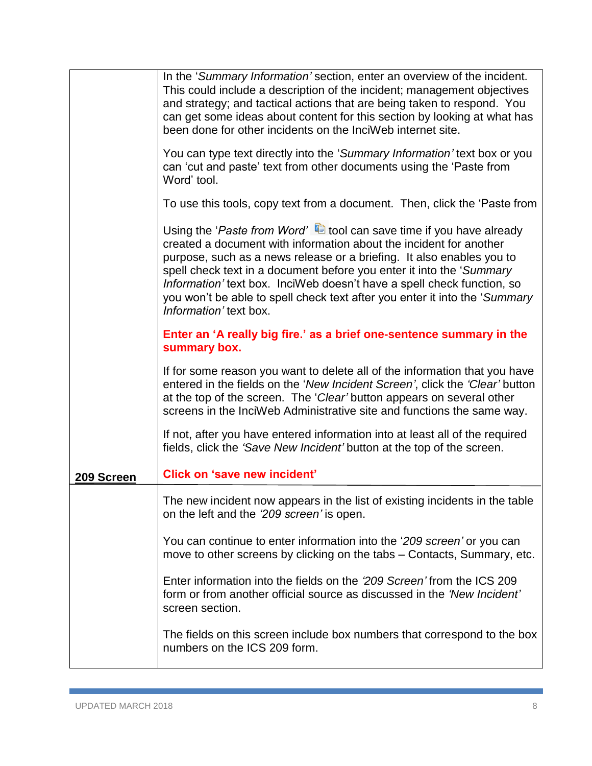|            | The fields on this screen include box numbers that correspond to the box<br>numbers on the ICS 209 form.                                                                                                                                                                                                                                                                                                                                                                                   |
|------------|--------------------------------------------------------------------------------------------------------------------------------------------------------------------------------------------------------------------------------------------------------------------------------------------------------------------------------------------------------------------------------------------------------------------------------------------------------------------------------------------|
|            | Enter information into the fields on the '209 Screen' from the ICS 209<br>form or from another official source as discussed in the 'New Incident'<br>screen section.                                                                                                                                                                                                                                                                                                                       |
|            | You can continue to enter information into the '209 screen' or you can<br>move to other screens by clicking on the tabs – Contacts, Summary, etc.                                                                                                                                                                                                                                                                                                                                          |
|            | The new incident now appears in the list of existing incidents in the table<br>on the left and the '209 screen' is open.                                                                                                                                                                                                                                                                                                                                                                   |
| 209 Screen | <b>Click on 'save new incident'</b>                                                                                                                                                                                                                                                                                                                                                                                                                                                        |
|            | If not, after you have entered information into at least all of the required<br>fields, click the 'Save New Incident' button at the top of the screen.                                                                                                                                                                                                                                                                                                                                     |
|            | If for some reason you want to delete all of the information that you have<br>entered in the fields on the 'New Incident Screen', click the 'Clear' button<br>at the top of the screen. The 'Clear' button appears on several other<br>screens in the InciWeb Administrative site and functions the same way.                                                                                                                                                                              |
|            | Enter an 'A really big fire.' as a brief one-sentence summary in the<br>summary box.                                                                                                                                                                                                                                                                                                                                                                                                       |
|            | Using the 'Paste from Word' $\blacksquare$ tool can save time if you have already<br>created a document with information about the incident for another<br>purpose, such as a news release or a briefing. It also enables you to<br>spell check text in a document before you enter it into the 'Summary<br>Information' text box. InciWeb doesn't have a spell check function, so<br>you won't be able to spell check text after you enter it into the 'Summary<br>Information' text box. |
|            | To use this tools, copy text from a document.  Then, click the 'Paste from                                                                                                                                                                                                                                                                                                                                                                                                                 |
|            | You can type text directly into the 'Summary Information' text box or you<br>can 'cut and paste' text from other documents using the 'Paste from<br>Word' tool.                                                                                                                                                                                                                                                                                                                            |
|            | In the 'Summary Information' section, enter an overview of the incident.<br>This could include a description of the incident; management objectives<br>and strategy; and tactical actions that are being taken to respond. You<br>can get some ideas about content for this section by looking at what has<br>been done for other incidents on the InciWeb internet site.                                                                                                                  |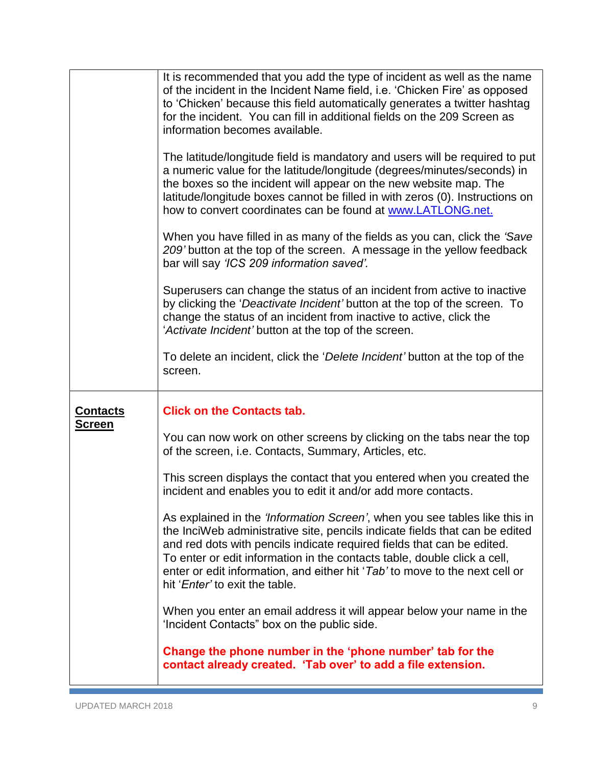<span id="page-8-0"></span>

|                 | It is recommended that you add the type of incident as well as the name<br>of the incident in the Incident Name field, i.e. 'Chicken Fire' as opposed<br>to 'Chicken' because this field automatically generates a twitter hashtag<br>for the incident. You can fill in additional fields on the 209 Screen as<br>information becomes available.                                                                                         |
|-----------------|------------------------------------------------------------------------------------------------------------------------------------------------------------------------------------------------------------------------------------------------------------------------------------------------------------------------------------------------------------------------------------------------------------------------------------------|
|                 | The latitude/longitude field is mandatory and users will be required to put<br>a numeric value for the latitude/longitude (degrees/minutes/seconds) in<br>the boxes so the incident will appear on the new website map. The<br>latitude/longitude boxes cannot be filled in with zeros (0). Instructions on<br>how to convert coordinates can be found at www.LATLONG.net.                                                               |
|                 | When you have filled in as many of the fields as you can, click the 'Save'<br>209' button at the top of the screen. A message in the yellow feedback<br>bar will say 'ICS 209 information saved'.                                                                                                                                                                                                                                        |
|                 | Superusers can change the status of an incident from active to inactive<br>by clicking the 'Deactivate Incident' button at the top of the screen. To<br>change the status of an incident from inactive to active, click the<br>'Activate Incident' button at the top of the screen.                                                                                                                                                      |
|                 | To delete an incident, click the 'Delete Incident' button at the top of the<br>screen.                                                                                                                                                                                                                                                                                                                                                   |
|                 |                                                                                                                                                                                                                                                                                                                                                                                                                                          |
| <u>Contacts</u> | <b>Click on the Contacts tab.</b>                                                                                                                                                                                                                                                                                                                                                                                                        |
| <b>Screen</b>   | You can now work on other screens by clicking on the tabs near the top<br>of the screen, i.e. Contacts, Summary, Articles, etc.                                                                                                                                                                                                                                                                                                          |
|                 | This screen displays the contact that you entered when you created the<br>incident and enables you to edit it and/or add more contacts.                                                                                                                                                                                                                                                                                                  |
|                 | As explained in the 'Information Screen', when you see tables like this in<br>the InciWeb administrative site, pencils indicate fields that can be edited<br>and red dots with pencils indicate required fields that can be edited.<br>To enter or edit information in the contacts table, double click a cell,<br>enter or edit information, and either hit 'Tab' to move to the next cell or<br>hit ' <i>Enter'</i> to exit the table. |
|                 | When you enter an email address it will appear below your name in the<br>'Incident Contacts" box on the public side.                                                                                                                                                                                                                                                                                                                     |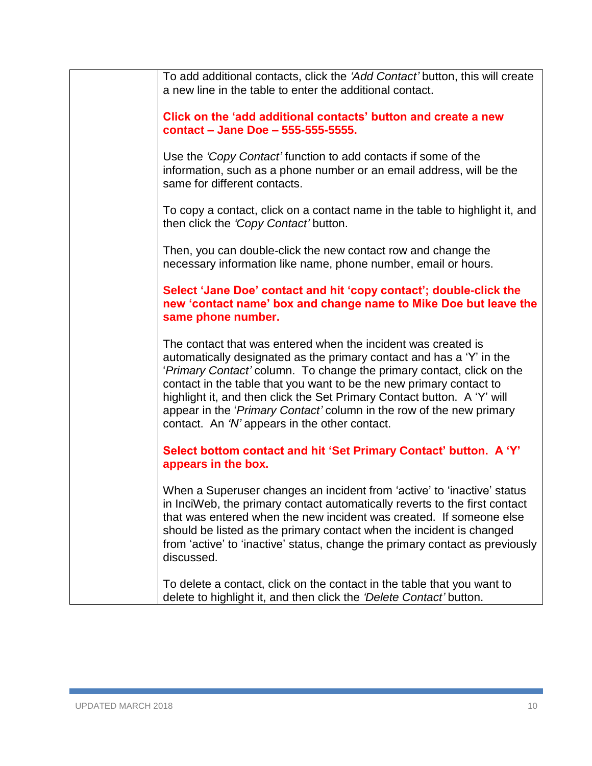<span id="page-9-0"></span>

|  | To add additional contacts, click the 'Add Contact' button, this will create<br>a new line in the table to enter the additional contact.                                                                                                                                                                                                                                                                                                                                                  |
|--|-------------------------------------------------------------------------------------------------------------------------------------------------------------------------------------------------------------------------------------------------------------------------------------------------------------------------------------------------------------------------------------------------------------------------------------------------------------------------------------------|
|  | Click on the 'add additional contacts' button and create a new<br>contact - Jane Doe - 555-555-5555.                                                                                                                                                                                                                                                                                                                                                                                      |
|  | Use the 'Copy Contact' function to add contacts if some of the<br>information, such as a phone number or an email address, will be the<br>same for different contacts.                                                                                                                                                                                                                                                                                                                    |
|  | To copy a contact, click on a contact name in the table to highlight it, and<br>then click the 'Copy Contact' button.                                                                                                                                                                                                                                                                                                                                                                     |
|  | Then, you can double-click the new contact row and change the<br>necessary information like name, phone number, email or hours.                                                                                                                                                                                                                                                                                                                                                           |
|  | Select 'Jane Doe' contact and hit 'copy contact'; double-click the<br>new 'contact name' box and change name to Mike Doe but leave the<br>same phone number.                                                                                                                                                                                                                                                                                                                              |
|  | The contact that was entered when the incident was created is<br>automatically designated as the primary contact and has a 'Y' in the<br>'Primary Contact' column. To change the primary contact, click on the<br>contact in the table that you want to be the new primary contact to<br>highlight it, and then click the Set Primary Contact button. A 'Y' will<br>appear in the 'Primary Contact' column in the row of the new primary<br>contact. An 'N' appears in the other contact. |
|  | Select bottom contact and hit 'Set Primary Contact' button. A 'Y'<br>appears in the box.                                                                                                                                                                                                                                                                                                                                                                                                  |
|  | When a Superuser changes an incident from 'active' to 'inactive' status<br>in InciWeb, the primary contact automatically reverts to the first contact<br>that was entered when the new incident was created. If someone else<br>should be listed as the primary contact when the incident is changed<br>from 'active' to 'inactive' status, change the primary contact as previously<br>discussed.                                                                                        |
|  | To delete a contact, click on the contact in the table that you want to<br>delete to highlight it, and then click the 'Delete Contact' button.                                                                                                                                                                                                                                                                                                                                            |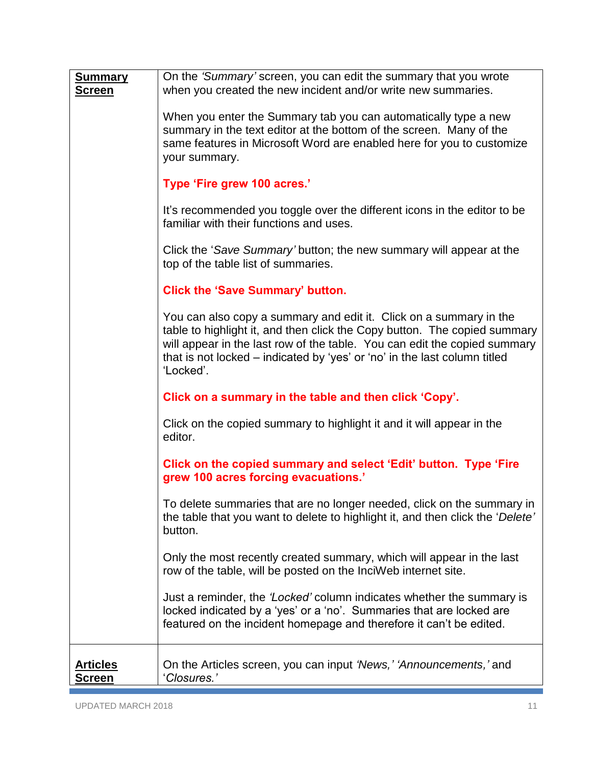<span id="page-10-0"></span>

| <b>Articles</b><br>Screen       | On the Articles screen, you can input 'News,' 'Announcements,' and<br>'Closures.'                                                                                                                                                                                                                                      |
|---------------------------------|------------------------------------------------------------------------------------------------------------------------------------------------------------------------------------------------------------------------------------------------------------------------------------------------------------------------|
|                                 | Just a reminder, the 'Locked' column indicates whether the summary is<br>locked indicated by a 'yes' or a 'no'. Summaries that are locked are<br>featured on the incident homepage and therefore it can't be edited.                                                                                                   |
|                                 | Only the most recently created summary, which will appear in the last<br>row of the table, will be posted on the InciWeb internet site.                                                                                                                                                                                |
|                                 | To delete summaries that are no longer needed, click on the summary in<br>the table that you want to delete to highlight it, and then click the 'Delete'<br>button.                                                                                                                                                    |
|                                 | Click on the copied summary and select 'Edit' button. Type 'Fire<br>grew 100 acres forcing evacuations.'                                                                                                                                                                                                               |
|                                 | Click on the copied summary to highlight it and it will appear in the<br>editor.                                                                                                                                                                                                                                       |
|                                 | Click on a summary in the table and then click 'Copy'.                                                                                                                                                                                                                                                                 |
|                                 | You can also copy a summary and edit it. Click on a summary in the<br>table to highlight it, and then click the Copy button. The copied summary<br>will appear in the last row of the table. You can edit the copied summary<br>that is not locked - indicated by 'yes' or 'no' in the last column titled<br>'Locked'. |
|                                 | <b>Click the 'Save Summary' button.</b>                                                                                                                                                                                                                                                                                |
|                                 | Click the 'Save Summary' button; the new summary will appear at the<br>top of the table list of summaries.                                                                                                                                                                                                             |
|                                 | It's recommended you toggle over the different icons in the editor to be<br>familiar with their functions and uses.                                                                                                                                                                                                    |
|                                 | Type 'Fire grew 100 acres.'                                                                                                                                                                                                                                                                                            |
|                                 | When you enter the Summary tab you can automatically type a new<br>summary in the text editor at the bottom of the screen. Many of the<br>same features in Microsoft Word are enabled here for you to customize<br>your summary.                                                                                       |
| <u>Summary</u><br><u>Screen</u> | On the 'Summary' screen, you can edit the summary that you wrote<br>when you created the new incident and/or write new summaries.                                                                                                                                                                                      |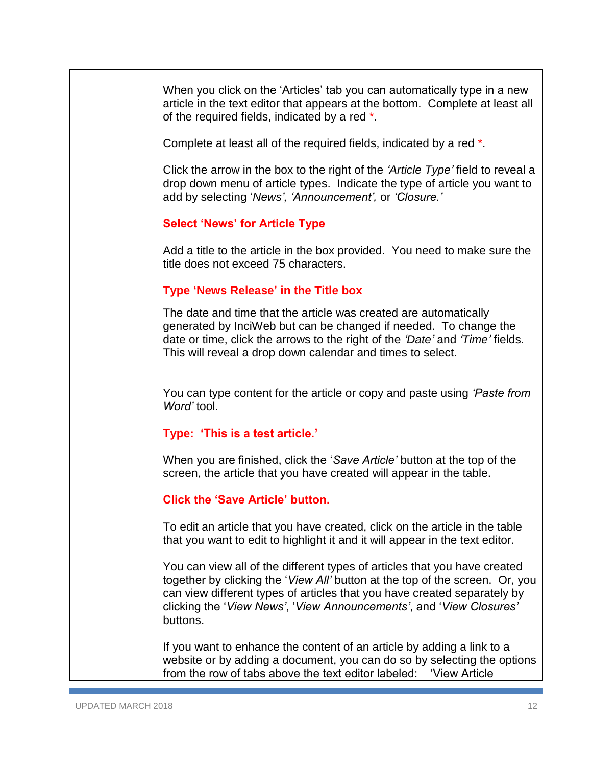| When you click on the 'Articles' tab you can automatically type in a new<br>article in the text editor that appears at the bottom. Complete at least all<br>of the required fields, indicated by a red *.                                                                                                                |
|--------------------------------------------------------------------------------------------------------------------------------------------------------------------------------------------------------------------------------------------------------------------------------------------------------------------------|
| Complete at least all of the required fields, indicated by a red *.                                                                                                                                                                                                                                                      |
| Click the arrow in the box to the right of the 'Article Type' field to reveal a<br>drop down menu of article types. Indicate the type of article you want to<br>add by selecting 'News', 'Announcement', or 'Closure.'                                                                                                   |
| <b>Select 'News' for Article Type</b>                                                                                                                                                                                                                                                                                    |
| Add a title to the article in the box provided. You need to make sure the<br>title does not exceed 75 characters.                                                                                                                                                                                                        |
| Type 'News Release' in the Title box                                                                                                                                                                                                                                                                                     |
| The date and time that the article was created are automatically<br>generated by InciWeb but can be changed if needed. To change the<br>date or time, click the arrows to the right of the 'Date' and 'Time' fields.<br>This will reveal a drop down calendar and times to select.                                       |
| You can type content for the article or copy and paste using 'Paste from<br>Word' tool.                                                                                                                                                                                                                                  |
| Type: 'This is a test article.'                                                                                                                                                                                                                                                                                          |
| When you are finished, click the 'Save Article' button at the top of the<br>screen, the article that you have created will appear in the table.                                                                                                                                                                          |
| <b>Click the 'Save Article' button.</b>                                                                                                                                                                                                                                                                                  |
| To edit an article that you have created, click on the article in the table<br>that you want to edit to highlight it and it will appear in the text editor.                                                                                                                                                              |
| You can view all of the different types of articles that you have created<br>together by clicking the 'View All' button at the top of the screen. Or, you<br>can view different types of articles that you have created separately by<br>clicking the 'View News', 'View Announcements', and 'View Closures'<br>buttons. |
| If you want to enhance the content of an article by adding a link to a<br>website or by adding a document, you can do so by selecting the options<br>from the row of tabs above the text editor labeled: 'View Article                                                                                                   |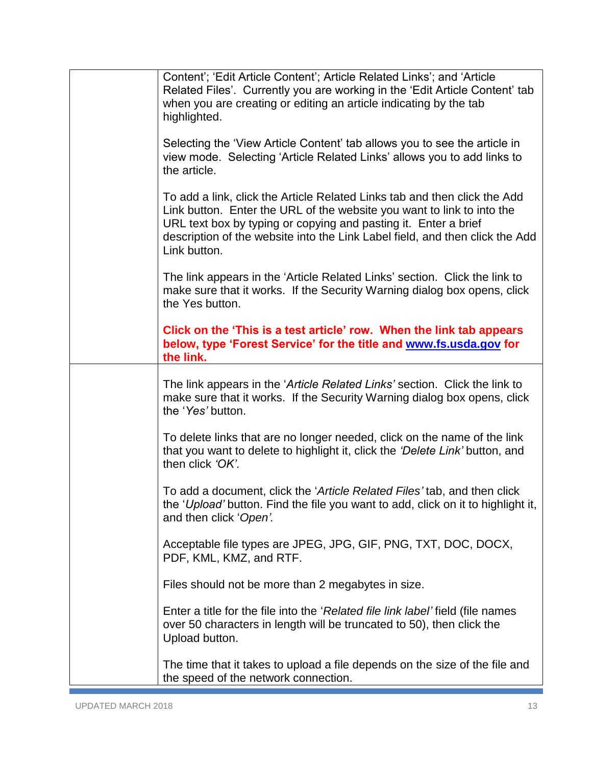| Content'; 'Edit Article Content'; Article Related Links'; and 'Article<br>Related Files'. Currently you are working in the 'Edit Article Content' tab<br>when you are creating or editing an article indicating by the tab<br>highlighted.                                                                             |
|------------------------------------------------------------------------------------------------------------------------------------------------------------------------------------------------------------------------------------------------------------------------------------------------------------------------|
| Selecting the 'View Article Content' tab allows you to see the article in<br>view mode. Selecting 'Article Related Links' allows you to add links to<br>the article.                                                                                                                                                   |
| To add a link, click the Article Related Links tab and then click the Add<br>Link button. Enter the URL of the website you want to link to into the<br>URL text box by typing or copying and pasting it. Enter a brief<br>description of the website into the Link Label field, and then click the Add<br>Link button. |
| The link appears in the 'Article Related Links' section. Click the link to<br>make sure that it works. If the Security Warning dialog box opens, click<br>the Yes button.                                                                                                                                              |
| Click on the 'This is a test article' row. When the link tab appears<br>below, type 'Forest Service' for the title and www.fs.usda.gov for<br>the link.                                                                                                                                                                |
| The link appears in the 'Article Related Links' section. Click the link to<br>make sure that it works. If the Security Warning dialog box opens, click<br>the 'Yes' button.                                                                                                                                            |
| To delete links that are no longer needed, click on the name of the link<br>that you want to delete to highlight it, click the 'Delete Link' button, and<br>then click 'OK'.                                                                                                                                           |
| To add a document, click the 'Article Related Files' tab, and then click<br>the 'Upload' button. Find the file you want to add, click on it to highlight it,<br>and then click 'Open'.                                                                                                                                 |
| Acceptable file types are JPEG, JPG, GIF, PNG, TXT, DOC, DOCX,<br>PDF, KML, KMZ, and RTF.                                                                                                                                                                                                                              |
| Files should not be more than 2 megabytes in size.                                                                                                                                                                                                                                                                     |
| Enter a title for the file into the 'Related file link label' field (file names<br>over 50 characters in length will be truncated to 50), then click the<br>Upload button.                                                                                                                                             |
| The time that it takes to upload a file depends on the size of the file and<br>the speed of the network connection.                                                                                                                                                                                                    |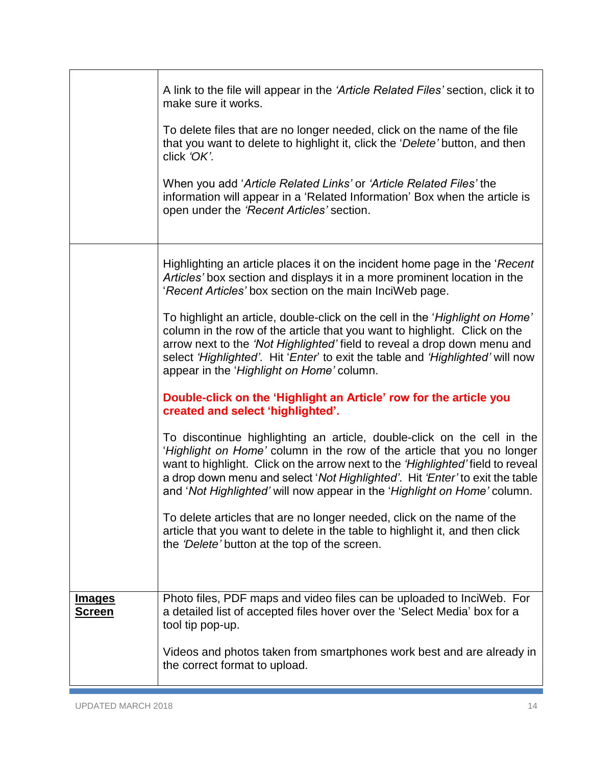<span id="page-13-0"></span>

|                                | A link to the file will appear in the 'Article Related Files' section, click it to<br>make sure it works.<br>To delete files that are no longer needed, click on the name of the file<br>that you want to delete to highlight it, click the 'Delete' button, and then<br>click 'OK'.<br>When you add 'Article Related Links' or 'Article Related Files' the<br>information will appear in a 'Related Information' Box when the article is<br>open under the 'Recent Articles' section.                                                                                                                                                                                                                                  |
|--------------------------------|-------------------------------------------------------------------------------------------------------------------------------------------------------------------------------------------------------------------------------------------------------------------------------------------------------------------------------------------------------------------------------------------------------------------------------------------------------------------------------------------------------------------------------------------------------------------------------------------------------------------------------------------------------------------------------------------------------------------------|
|                                | Highlighting an article places it on the incident home page in the 'Recent'<br>Articles' box section and displays it in a more prominent location in the<br>'Recent Articles' box section on the main InciWeb page.<br>To highlight an article, double-click on the cell in the 'Highlight on Home'<br>column in the row of the article that you want to highlight. Click on the<br>arrow next to the 'Not Highlighted' field to reveal a drop down menu and<br>select 'Highlighted'. Hit 'Enter' to exit the table and 'Highlighted' will now<br>appear in the 'Highlight on Home' column.                                                                                                                             |
|                                | Double-click on the 'Highlight an Article' row for the article you<br>created and select 'highlighted'.<br>To discontinue highlighting an article, double-click on the cell in the<br>'Highlight on Home' column in the row of the article that you no longer<br>want to highlight. Click on the arrow next to the 'Highlighted' field to reveal<br>a drop down menu and select 'Not Highlighted'. Hit 'Enter' to exit the table<br>and 'Not Highlighted' will now appear in the 'Highlight on Home' column.<br>To delete articles that are no longer needed, click on the name of the<br>article that you want to delete in the table to highlight it, and then click<br>the 'Delete' button at the top of the screen. |
| <u>Images</u><br><u>Screen</u> | Photo files, PDF maps and video files can be uploaded to InciWeb. For<br>a detailed list of accepted files hover over the 'Select Media' box for a<br>tool tip pop-up.<br>Videos and photos taken from smartphones work best and are already in<br>the correct format to upload.                                                                                                                                                                                                                                                                                                                                                                                                                                        |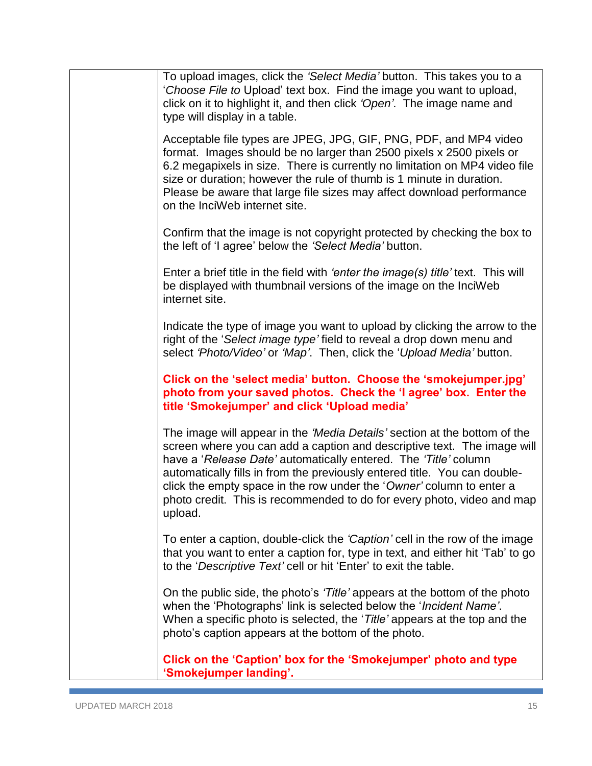| To upload images, click the 'Select Media' button. This takes you to a<br>'Choose File to Upload' text box. Find the image you want to upload,<br>click on it to highlight it, and then click 'Open'. The image name and<br>type will display in a table.                                                                                                                                                                                                         |
|-------------------------------------------------------------------------------------------------------------------------------------------------------------------------------------------------------------------------------------------------------------------------------------------------------------------------------------------------------------------------------------------------------------------------------------------------------------------|
| Acceptable file types are JPEG, JPG, GIF, PNG, PDF, and MP4 video<br>format. Images should be no larger than 2500 pixels x 2500 pixels or<br>6.2 megapixels in size. There is currently no limitation on MP4 video file<br>size or duration; however the rule of thumb is 1 minute in duration.<br>Please be aware that large file sizes may affect download performance<br>on the InciWeb internet site.                                                         |
| Confirm that the image is not copyright protected by checking the box to<br>the left of 'I agree' below the 'Select Media' button.                                                                                                                                                                                                                                                                                                                                |
| Enter a brief title in the field with 'enter the image(s) title' text. This will<br>be displayed with thumbnail versions of the image on the InciWeb<br>internet site.                                                                                                                                                                                                                                                                                            |
| Indicate the type of image you want to upload by clicking the arrow to the<br>right of the 'Select image type' field to reveal a drop down menu and<br>select 'Photo/Video' or 'Map'. Then, click the 'Upload Media' button.                                                                                                                                                                                                                                      |
| Click on the 'select media' button. Choose the 'smokejumper.jpg'<br>photo from your saved photos. Check the 'I agree' box. Enter the<br>title 'Smokejumper' and click 'Upload media'                                                                                                                                                                                                                                                                              |
| The image will appear in the 'Media Details' section at the bottom of the<br>screen where you can add a caption and descriptive text. The image will<br>have a 'Release Date' automatically entered. The 'Title' column<br>automatically fills in from the previously entered title. You can double-<br>click the empty space in the row under the 'Owner' column to enter a<br>photo credit. This is recommended to do for every photo, video and map<br>upload. |
| To enter a caption, double-click the 'Caption' cell in the row of the image<br>that you want to enter a caption for, type in text, and either hit 'Tab' to go<br>to the 'Descriptive Text' cell or hit 'Enter' to exit the table.                                                                                                                                                                                                                                 |
| On the public side, the photo's 'Title' appears at the bottom of the photo<br>when the 'Photographs' link is selected below the ' <i>Incident Name'</i> .<br>When a specific photo is selected, the 'Title' appears at the top and the<br>photo's caption appears at the bottom of the photo.                                                                                                                                                                     |
| Click on the 'Caption' box for the 'Smokejumper' photo and type<br>'Smokejumper landing'.                                                                                                                                                                                                                                                                                                                                                                         |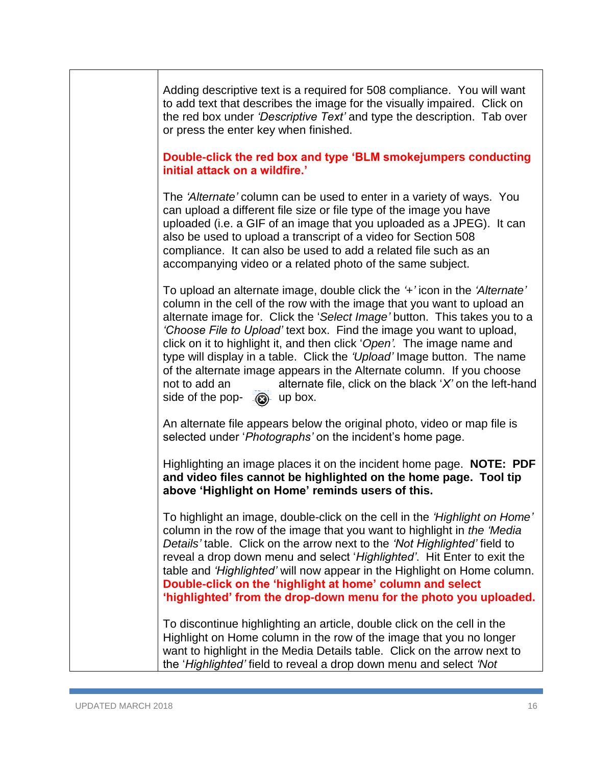| Adding descriptive text is a required for 508 compliance. You will want<br>to add text that describes the image for the visually impaired. Click on<br>the red box under 'Descriptive Text' and type the description. Tab over<br>or press the enter key when finished.                                                                                                                                                                                                                                                                                                                                                                                     |
|-------------------------------------------------------------------------------------------------------------------------------------------------------------------------------------------------------------------------------------------------------------------------------------------------------------------------------------------------------------------------------------------------------------------------------------------------------------------------------------------------------------------------------------------------------------------------------------------------------------------------------------------------------------|
| Double-click the red box and type 'BLM smokejumpers conducting<br>initial attack on a wildfire.'                                                                                                                                                                                                                                                                                                                                                                                                                                                                                                                                                            |
| The 'Alternate' column can be used to enter in a variety of ways. You<br>can upload a different file size or file type of the image you have<br>uploaded (i.e. a GIF of an image that you uploaded as a JPEG). It can<br>also be used to upload a transcript of a video for Section 508<br>compliance. It can also be used to add a related file such as an<br>accompanying video or a related photo of the same subject.                                                                                                                                                                                                                                   |
| To upload an alternate image, double click the '+' icon in the 'Alternate'<br>column in the cell of the row with the image that you want to upload an<br>alternate image for. Click the 'Select Image' button. This takes you to a<br>'Choose File to Upload' text box. Find the image you want to upload,<br>click on it to highlight it, and then click 'Open'. The image name and<br>type will display in a table. Click the 'Upload' Image button. The name<br>of the alternate image appears in the Alternate column. If you choose<br>alternate file, click on the black 'X' on the left-hand<br>not to add an<br>side of the pop- $\bigcirc$ up box. |
| An alternate file appears below the original photo, video or map file is<br>selected under ' <i>Photographs'</i> on the incident's home page.                                                                                                                                                                                                                                                                                                                                                                                                                                                                                                               |
| Highlighting an image places it on the incident home page. NOTE: PDF<br>and video files cannot be highlighted on the home page. Tool tip<br>above 'Highlight on Home' reminds users of this.                                                                                                                                                                                                                                                                                                                                                                                                                                                                |
| To highlight an image, double-click on the cell in the 'Highlight on Home'<br>column in the row of the image that you want to highlight in the 'Media<br>Details' table. Click on the arrow next to the 'Not Highlighted' field to<br>reveal a drop down menu and select 'Highlighted'. Hit Enter to exit the<br>table and 'Highlighted' will now appear in the Highlight on Home column.<br>Double-click on the 'highlight at home' column and select<br>'highlighted' from the drop-down menu for the photo you uploaded.                                                                                                                                 |
| To discontinue highlighting an article, double click on the cell in the<br>Highlight on Home column in the row of the image that you no longer<br>want to highlight in the Media Details table. Click on the arrow next to<br>the 'Highlighted' field to reveal a drop down menu and select 'Not                                                                                                                                                                                                                                                                                                                                                            |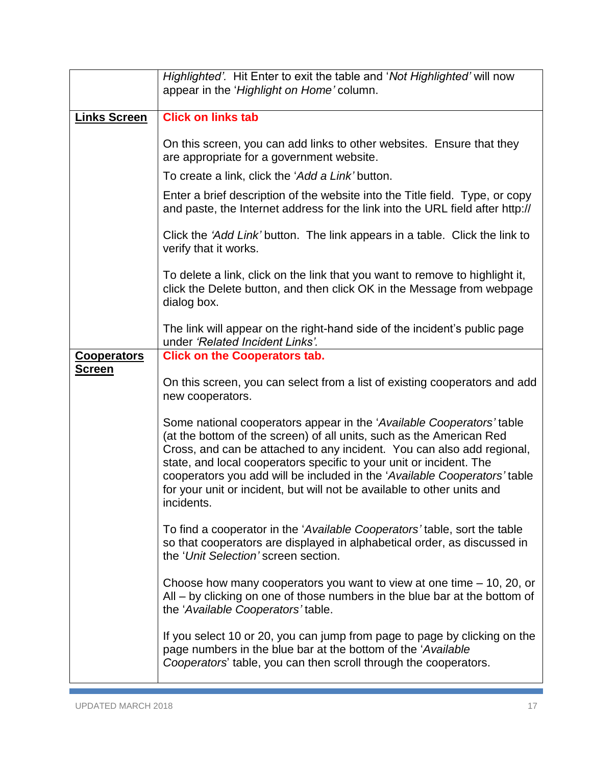<span id="page-16-1"></span><span id="page-16-0"></span>

|                                     | Highlighted'. Hit Enter to exit the table and 'Not Highlighted' will now<br>appear in the 'Highlight on Home' column.                                                                                                                                                                                                                                                                                                                                                |
|-------------------------------------|----------------------------------------------------------------------------------------------------------------------------------------------------------------------------------------------------------------------------------------------------------------------------------------------------------------------------------------------------------------------------------------------------------------------------------------------------------------------|
| <b>Links Screen</b>                 | <b>Click on links tab</b>                                                                                                                                                                                                                                                                                                                                                                                                                                            |
|                                     | On this screen, you can add links to other websites. Ensure that they<br>are appropriate for a government website.                                                                                                                                                                                                                                                                                                                                                   |
|                                     | To create a link, click the 'Add a Link' button.                                                                                                                                                                                                                                                                                                                                                                                                                     |
|                                     | Enter a brief description of the website into the Title field. Type, or copy<br>and paste, the Internet address for the link into the URL field after http://                                                                                                                                                                                                                                                                                                        |
|                                     | Click the 'Add Link' button. The link appears in a table. Click the link to<br>verify that it works.                                                                                                                                                                                                                                                                                                                                                                 |
|                                     | To delete a link, click on the link that you want to remove to highlight it,<br>click the Delete button, and then click OK in the Message from webpage<br>dialog box.                                                                                                                                                                                                                                                                                                |
|                                     | The link will appear on the right-hand side of the incident's public page<br>under 'Related Incident Links'.                                                                                                                                                                                                                                                                                                                                                         |
| <u>Cooperators</u><br><u>Screen</u> | <b>Click on the Cooperators tab.</b>                                                                                                                                                                                                                                                                                                                                                                                                                                 |
|                                     | On this screen, you can select from a list of existing cooperators and add<br>new cooperators.                                                                                                                                                                                                                                                                                                                                                                       |
|                                     | Some national cooperators appear in the 'Available Cooperators' table<br>(at the bottom of the screen) of all units, such as the American Red<br>Cross, and can be attached to any incident. You can also add regional,<br>state, and local cooperators specific to your unit or incident. The<br>cooperators you add will be included in the 'Available Cooperators' table<br>for your unit or incident, but will not be available to other units and<br>incidents. |
|                                     | To find a cooperator in the 'Available Cooperators' table, sort the table<br>so that cooperators are displayed in alphabetical order, as discussed in<br>the 'Unit Selection' screen section.                                                                                                                                                                                                                                                                        |
|                                     | Choose how many cooperators you want to view at one time $-10$ , 20, or<br>All – by clicking on one of those numbers in the blue bar at the bottom of<br>the 'Available Cooperators' table.                                                                                                                                                                                                                                                                          |
|                                     | If you select 10 or 20, you can jump from page to page by clicking on the<br>page numbers in the blue bar at the bottom of the 'Available<br>Cooperators' table, you can then scroll through the cooperators.                                                                                                                                                                                                                                                        |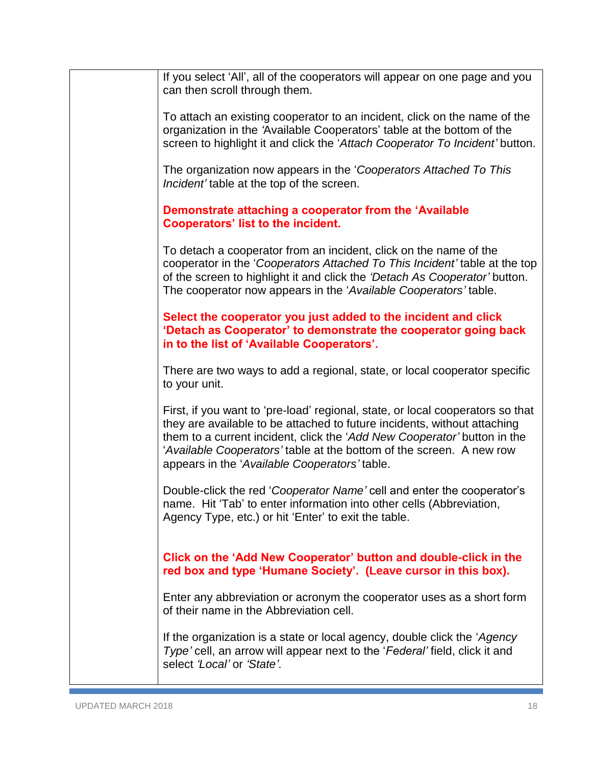| If you select 'All', all of the cooperators will appear on one page and you<br>can then scroll through them.                                                                                                                                                                                                                                                    |
|-----------------------------------------------------------------------------------------------------------------------------------------------------------------------------------------------------------------------------------------------------------------------------------------------------------------------------------------------------------------|
| To attach an existing cooperator to an incident, click on the name of the<br>organization in the 'Available Cooperators' table at the bottom of the<br>screen to highlight it and click the 'Attach Cooperator To Incident' button.                                                                                                                             |
| The organization now appears in the 'Cooperators Attached To This<br>Incident' table at the top of the screen.                                                                                                                                                                                                                                                  |
| Demonstrate attaching a cooperator from the 'Available<br><b>Cooperators' list to the incident.</b>                                                                                                                                                                                                                                                             |
| To detach a cooperator from an incident, click on the name of the<br>cooperator in the 'Cooperators Attached To This Incident' table at the top<br>of the screen to highlight it and click the 'Detach As Cooperator' button.<br>The cooperator now appears in the 'Available Cooperators' table.                                                               |
| Select the cooperator you just added to the incident and click<br>'Detach as Cooperator' to demonstrate the cooperator going back<br>in to the list of 'Available Cooperators'.                                                                                                                                                                                 |
| There are two ways to add a regional, state, or local cooperator specific<br>to your unit.                                                                                                                                                                                                                                                                      |
| First, if you want to 'pre-load' regional, state, or local cooperators so that<br>they are available to be attached to future incidents, without attaching<br>them to a current incident, click the 'Add New Cooperator' button in the<br>'Available Cooperators' table at the bottom of the screen. A new row<br>appears in the 'Available Cooperators' table. |
| Double-click the red 'Cooperator Name' cell and enter the cooperator's<br>name. Hit 'Tab' to enter information into other cells (Abbreviation,<br>Agency Type, etc.) or hit 'Enter' to exit the table.                                                                                                                                                          |
| Click on the 'Add New Cooperator' button and double-click in the<br>red box and type 'Humane Society'. (Leave cursor in this box).                                                                                                                                                                                                                              |
| Enter any abbreviation or acronym the cooperator uses as a short form<br>of their name in the Abbreviation cell.                                                                                                                                                                                                                                                |
| If the organization is a state or local agency, double click the 'Agency<br>Type' cell, an arrow will appear next to the 'Federal' field, click it and<br>select 'Local' or 'State'.                                                                                                                                                                            |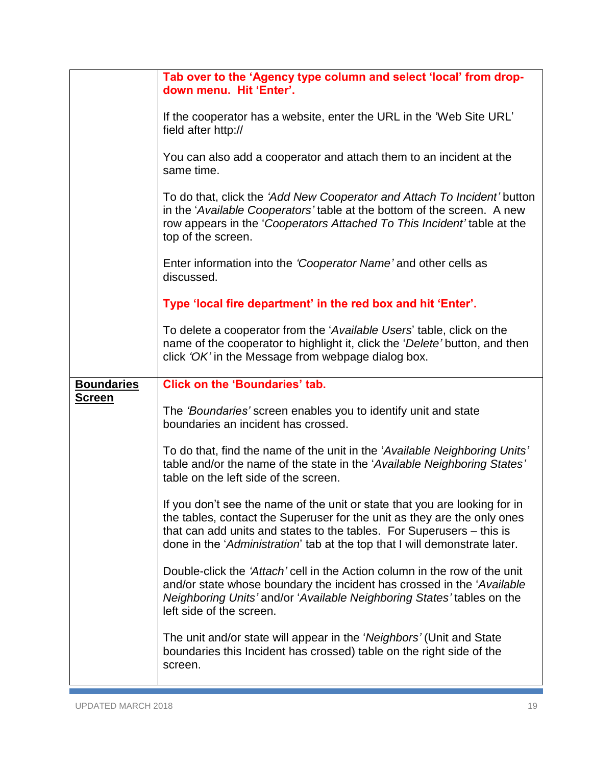<span id="page-18-0"></span>

|                                    | Tab over to the 'Agency type column and select 'local' from drop-<br>down menu. Hit 'Enter'.                                                                                                                                                                                                                  |
|------------------------------------|---------------------------------------------------------------------------------------------------------------------------------------------------------------------------------------------------------------------------------------------------------------------------------------------------------------|
|                                    | If the cooperator has a website, enter the URL in the 'Web Site URL'<br>field after http://                                                                                                                                                                                                                   |
|                                    | You can also add a cooperator and attach them to an incident at the<br>same time.                                                                                                                                                                                                                             |
|                                    | To do that, click the 'Add New Cooperator and Attach To Incident' button<br>in the 'Available Cooperators' table at the bottom of the screen. A new<br>row appears in the 'Cooperators Attached To This Incident' table at the<br>top of the screen.                                                          |
|                                    | Enter information into the 'Cooperator Name' and other cells as<br>discussed.                                                                                                                                                                                                                                 |
|                                    | Type 'local fire department' in the red box and hit 'Enter'.                                                                                                                                                                                                                                                  |
|                                    | To delete a cooperator from the 'Available Users' table, click on the<br>name of the cooperator to highlight it, click the 'Delete' button, and then<br>click 'OK' in the Message from webpage dialog box.                                                                                                    |
| <b>Boundaries</b><br><u>Screen</u> | <b>Click on the 'Boundaries' tab.</b>                                                                                                                                                                                                                                                                         |
|                                    | The 'Boundaries' screen enables you to identify unit and state<br>boundaries an incident has crossed.                                                                                                                                                                                                         |
|                                    | To do that, find the name of the unit in the 'Available Neighboring Units'<br>table and/or the name of the state in the 'Available Neighboring States'<br>table on the left side of the screen.                                                                                                               |
|                                    | If you don't see the name of the unit or state that you are looking for in<br>the tables, contact the Superuser for the unit as they are the only ones<br>that can add units and states to the tables. For Superusers – this is<br>done in the 'Administration' tab at the top that I will demonstrate later. |
|                                    | Double-click the 'Attach' cell in the Action column in the row of the unit<br>and/or state whose boundary the incident has crossed in the 'Available'<br>Neighboring Units' and/or 'Available Neighboring States' tables on the<br>left side of the screen.                                                   |
|                                    | The unit and/or state will appear in the 'Neighbors' (Unit and State<br>boundaries this Incident has crossed) table on the right side of the<br>screen.                                                                                                                                                       |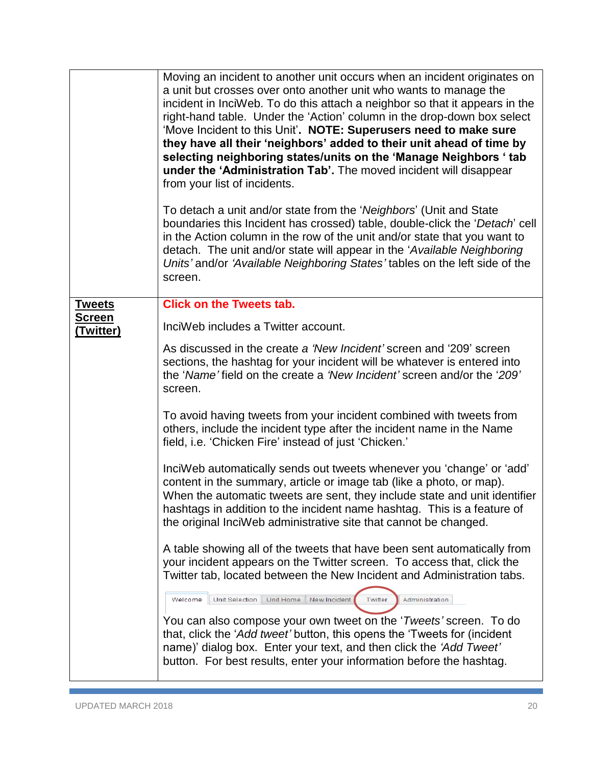<span id="page-19-0"></span>

|                                | Moving an incident to another unit occurs when an incident originates on<br>a unit but crosses over onto another unit who wants to manage the<br>incident in InciWeb. To do this attach a neighbor so that it appears in the<br>right-hand table. Under the 'Action' column in the drop-down box select<br>'Move Incident to this Unit'. NOTE: Superusers need to make sure<br>they have all their 'neighbors' added to their unit ahead of time by<br>selecting neighboring states/units on the 'Manage Neighbors ' tab<br>under the 'Administration Tab'. The moved incident will disappear<br>from your list of incidents.<br>To detach a unit and/or state from the 'Neighbors' (Unit and State<br>boundaries this Incident has crossed) table, double-click the 'Detach' cell<br>in the Action column in the row of the unit and/or state that you want to<br>detach. The unit and/or state will appear in the 'Available Neighboring<br>Units' and/or 'Available Neighboring States' tables on the left side of the |
|--------------------------------|---------------------------------------------------------------------------------------------------------------------------------------------------------------------------------------------------------------------------------------------------------------------------------------------------------------------------------------------------------------------------------------------------------------------------------------------------------------------------------------------------------------------------------------------------------------------------------------------------------------------------------------------------------------------------------------------------------------------------------------------------------------------------------------------------------------------------------------------------------------------------------------------------------------------------------------------------------------------------------------------------------------------------|
|                                | screen.                                                                                                                                                                                                                                                                                                                                                                                                                                                                                                                                                                                                                                                                                                                                                                                                                                                                                                                                                                                                                   |
| <b>Tweets</b><br><u>Screen</u> | <b>Click on the Tweets tab.</b><br>InciWeb includes a Twitter account.                                                                                                                                                                                                                                                                                                                                                                                                                                                                                                                                                                                                                                                                                                                                                                                                                                                                                                                                                    |
| <u>(Twitter)</u>               | As discussed in the create a 'New Incident' screen and '209' screen<br>sections, the hashtag for your incident will be whatever is entered into<br>the 'Name' field on the create a 'New Incident' screen and/or the '209'<br>screen.                                                                                                                                                                                                                                                                                                                                                                                                                                                                                                                                                                                                                                                                                                                                                                                     |
|                                | To avoid having tweets from your incident combined with tweets from<br>others, include the incident type after the incident name in the Name<br>field, i.e. 'Chicken Fire' instead of just 'Chicken.'                                                                                                                                                                                                                                                                                                                                                                                                                                                                                                                                                                                                                                                                                                                                                                                                                     |
|                                | InciWeb automatically sends out tweets whenever you 'change' or 'add'<br>content in the summary, article or image tab (like a photo, or map).<br>When the automatic tweets are sent, they include state and unit identifier<br>hashtags in addition to the incident name hashtag. This is a feature of<br>the original InciWeb administrative site that cannot be changed.                                                                                                                                                                                                                                                                                                                                                                                                                                                                                                                                                                                                                                                |
|                                | A table showing all of the tweets that have been sent automatically from<br>your incident appears on the Twitter screen. To access that, click the<br>Twitter tab, located between the New Incident and Administration tabs.                                                                                                                                                                                                                                                                                                                                                                                                                                                                                                                                                                                                                                                                                                                                                                                              |
|                                | Unit Home<br>Unit Selection<br>New Incident<br>Twitter<br>Administration<br>Welcome<br>You can also compose your own tweet on the ' <i>Tweets'</i> screen. To do<br>that, click the 'Add tweet' button, this opens the 'Tweets for (incident<br>name)' dialog box. Enter your text, and then click the 'Add Tweet'<br>button. For best results, enter your information before the hashtag.                                                                                                                                                                                                                                                                                                                                                                                                                                                                                                                                                                                                                                |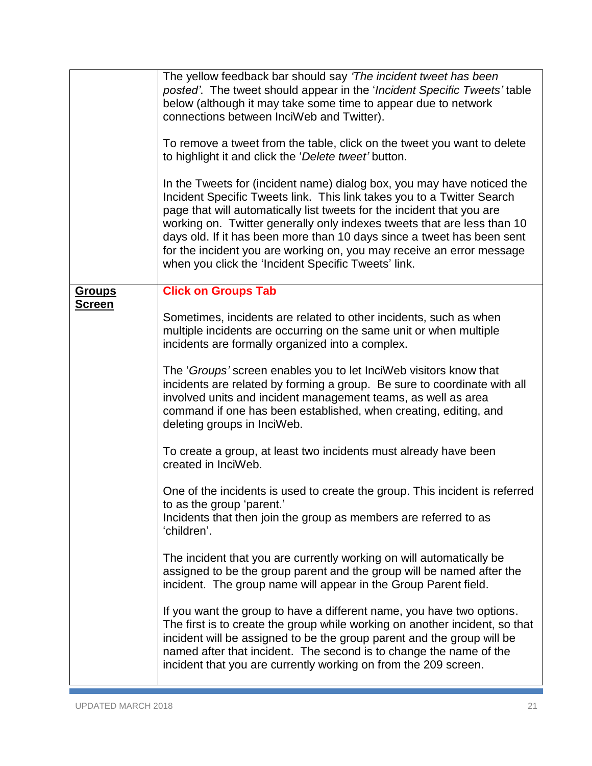<span id="page-20-0"></span>

|               | The yellow feedback bar should say 'The incident tweet has been<br>posted'. The tweet should appear in the 'Incident Specific Tweets' table<br>below (although it may take some time to appear due to network<br>connections between InciWeb and Twitter).                                                                                                                                                                                                                                                      |
|---------------|-----------------------------------------------------------------------------------------------------------------------------------------------------------------------------------------------------------------------------------------------------------------------------------------------------------------------------------------------------------------------------------------------------------------------------------------------------------------------------------------------------------------|
|               | To remove a tweet from the table, click on the tweet you want to delete<br>to highlight it and click the 'Delete tweet' button.                                                                                                                                                                                                                                                                                                                                                                                 |
|               | In the Tweets for (incident name) dialog box, you may have noticed the<br>Incident Specific Tweets link. This link takes you to a Twitter Search<br>page that will automatically list tweets for the incident that you are<br>working on. Twitter generally only indexes tweets that are less than 10<br>days old. If it has been more than 10 days since a tweet has been sent<br>for the incident you are working on, you may receive an error message<br>when you click the 'Incident Specific Tweets' link. |
| <u>Groups</u> | <b>Click on Groups Tab</b>                                                                                                                                                                                                                                                                                                                                                                                                                                                                                      |
| <u>Screen</u> | Sometimes, incidents are related to other incidents, such as when<br>multiple incidents are occurring on the same unit or when multiple<br>incidents are formally organized into a complex.                                                                                                                                                                                                                                                                                                                     |
|               | The 'Groups' screen enables you to let InciWeb visitors know that<br>incidents are related by forming a group. Be sure to coordinate with all<br>involved units and incident management teams, as well as area<br>command if one has been established, when creating, editing, and<br>deleting groups in InciWeb.                                                                                                                                                                                               |
|               | To create a group, at least two incidents must already have been<br>created in InciWeb.                                                                                                                                                                                                                                                                                                                                                                                                                         |
|               | One of the incidents is used to create the group. This incident is referred<br>to as the group 'parent.'<br>Incidents that then join the group as members are referred to as<br>'children'.                                                                                                                                                                                                                                                                                                                     |
|               | The incident that you are currently working on will automatically be<br>assigned to be the group parent and the group will be named after the<br>incident. The group name will appear in the Group Parent field.                                                                                                                                                                                                                                                                                                |
|               | If you want the group to have a different name, you have two options.<br>The first is to create the group while working on another incident, so that<br>incident will be assigned to be the group parent and the group will be<br>named after that incident. The second is to change the name of the<br>incident that you are currently working on from the 209 screen.                                                                                                                                         |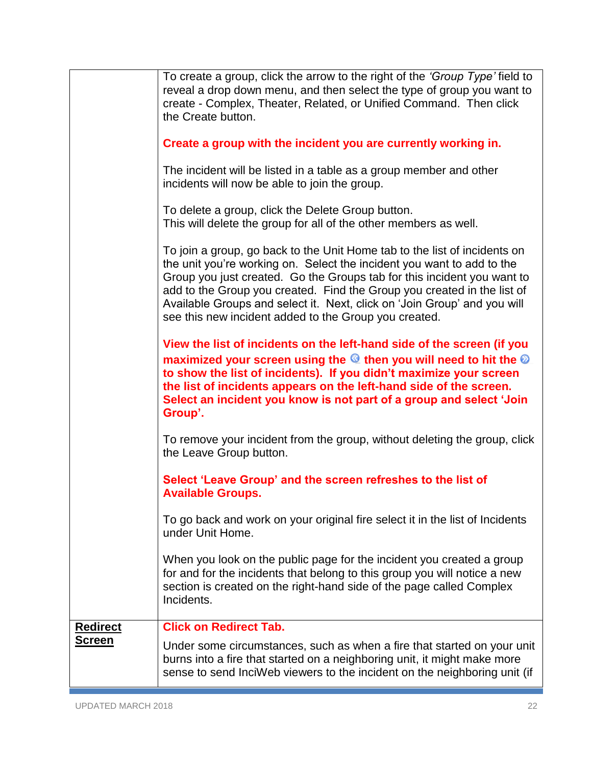<span id="page-21-0"></span>

|                                  | To create a group, click the arrow to the right of the 'Group Type' field to<br>reveal a drop down menu, and then select the type of group you want to<br>create - Complex, Theater, Related, or Unified Command. Then click<br>the Create button.                                                                                                                                                                                             |
|----------------------------------|------------------------------------------------------------------------------------------------------------------------------------------------------------------------------------------------------------------------------------------------------------------------------------------------------------------------------------------------------------------------------------------------------------------------------------------------|
|                                  | Create a group with the incident you are currently working in.                                                                                                                                                                                                                                                                                                                                                                                 |
|                                  | The incident will be listed in a table as a group member and other<br>incidents will now be able to join the group.                                                                                                                                                                                                                                                                                                                            |
|                                  | To delete a group, click the Delete Group button.<br>This will delete the group for all of the other members as well.                                                                                                                                                                                                                                                                                                                          |
|                                  | To join a group, go back to the Unit Home tab to the list of incidents on<br>the unit you're working on. Select the incident you want to add to the<br>Group you just created. Go the Groups tab for this incident you want to<br>add to the Group you created. Find the Group you created in the list of<br>Available Groups and select it. Next, click on 'Join Group' and you will<br>see this new incident added to the Group you created. |
|                                  | View the list of incidents on the left-hand side of the screen (if you<br>maximized your screen using the <sup>@</sup> then you will need to hit the ©<br>to show the list of incidents). If you didn't maximize your screen<br>the list of incidents appears on the left-hand side of the screen.<br>Select an incident you know is not part of a group and select 'Join<br>Group'.                                                           |
|                                  | To remove your incident from the group, without deleting the group, click<br>the Leave Group button.                                                                                                                                                                                                                                                                                                                                           |
|                                  | Select 'Leave Group' and the screen refreshes to the list of<br><b>Available Groups.</b>                                                                                                                                                                                                                                                                                                                                                       |
|                                  | To go back and work on your original fire select it in the list of Incidents<br>under Unit Home.                                                                                                                                                                                                                                                                                                                                               |
|                                  | When you look on the public page for the incident you created a group<br>for and for the incidents that belong to this group you will notice a new<br>section is created on the right-hand side of the page called Complex<br>Incidents.                                                                                                                                                                                                       |
| <b>Redirect</b><br><b>Screen</b> | <b>Click on Redirect Tab.</b>                                                                                                                                                                                                                                                                                                                                                                                                                  |
|                                  | Under some circumstances, such as when a fire that started on your unit<br>burns into a fire that started on a neighboring unit, it might make more<br>sense to send InciWeb viewers to the incident on the neighboring unit (if                                                                                                                                                                                                               |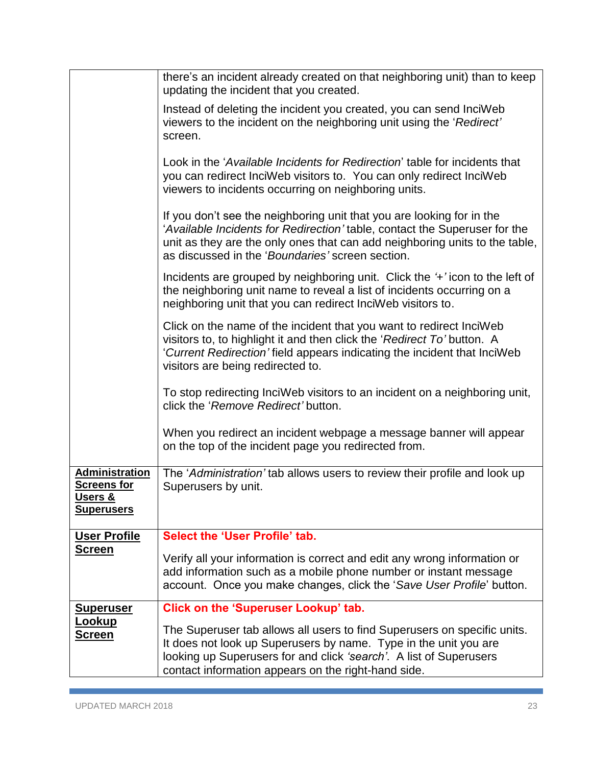<span id="page-22-2"></span><span id="page-22-1"></span><span id="page-22-0"></span>

|                                                                      | there's an incident already created on that neighboring unit) than to keep<br>updating the incident that you created.                                                                                                                                                                  |
|----------------------------------------------------------------------|----------------------------------------------------------------------------------------------------------------------------------------------------------------------------------------------------------------------------------------------------------------------------------------|
|                                                                      | Instead of deleting the incident you created, you can send InciWeb<br>viewers to the incident on the neighboring unit using the 'Redirect'<br>screen.                                                                                                                                  |
|                                                                      | Look in the 'Available Incidents for Redirection' table for incidents that<br>you can redirect InciWeb visitors to. You can only redirect InciWeb<br>viewers to incidents occurring on neighboring units.                                                                              |
|                                                                      | If you don't see the neighboring unit that you are looking for in the<br>'Available Incidents for Redirection' table, contact the Superuser for the<br>unit as they are the only ones that can add neighboring units to the table,<br>as discussed in the 'Boundaries' screen section. |
|                                                                      | Incidents are grouped by neighboring unit. Click the '+' icon to the left of<br>the neighboring unit name to reveal a list of incidents occurring on a<br>neighboring unit that you can redirect InciWeb visitors to.                                                                  |
|                                                                      | Click on the name of the incident that you want to redirect InciWeb<br>visitors to, to highlight it and then click the 'Redirect To' button. A<br>'Current Redirection' field appears indicating the incident that InciWeb<br>visitors are being redirected to.                        |
|                                                                      | To stop redirecting InciWeb visitors to an incident on a neighboring unit,<br>click the 'Remove Redirect' button.                                                                                                                                                                      |
|                                                                      | When you redirect an incident webpage a message banner will appear<br>on the top of the incident page you redirected from.                                                                                                                                                             |
| Administration<br><b>Screens for</b><br>Users &<br><b>Superusers</b> | The 'Administration' tab allows users to review their profile and look up<br>Superusers by unit.                                                                                                                                                                                       |
| <b>User Profile</b>                                                  | Select the 'User Profile' tab.                                                                                                                                                                                                                                                         |
| <b>Screen</b>                                                        | Verify all your information is correct and edit any wrong information or<br>add information such as a mobile phone number or instant message<br>account. Once you make changes, click the 'Save User Profile' button.                                                                  |
| <b>Superuser</b>                                                     | <b>Click on the 'Superuser Lookup' tab.</b>                                                                                                                                                                                                                                            |
| <b>Lookup</b><br><u>Screen</u>                                       | The Superuser tab allows all users to find Superusers on specific units.<br>It does not look up Superusers by name. Type in the unit you are<br>looking up Superusers for and click 'search'. A list of Superusers<br>contact information appears on the right-hand side.              |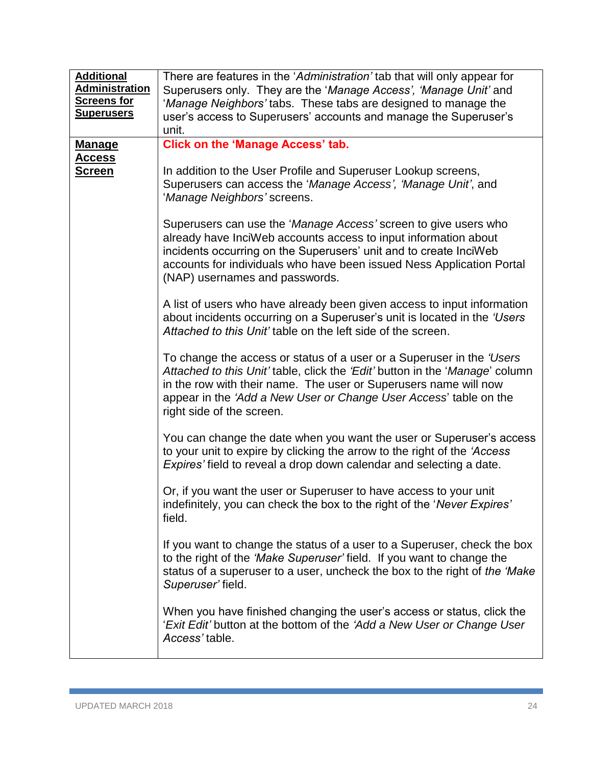<span id="page-23-1"></span><span id="page-23-0"></span>

| <b>Additional</b><br><b>Administration</b><br><b>Screens for</b><br><u>Superusers</u> | There are features in the 'Administration' tab that will only appear for<br>Superusers only. They are the 'Manage Access', 'Manage Unit' and<br>'Manage Neighbors' tabs. These tabs are designed to manage the<br>user's access to Superusers' accounts and manage the Superuser's<br>unit.                                  |
|---------------------------------------------------------------------------------------|------------------------------------------------------------------------------------------------------------------------------------------------------------------------------------------------------------------------------------------------------------------------------------------------------------------------------|
| <b>Manage</b>                                                                         | <b>Click on the 'Manage Access' tab.</b>                                                                                                                                                                                                                                                                                     |
| <b>Access</b>                                                                         |                                                                                                                                                                                                                                                                                                                              |
| <u>Screen</u>                                                                         | In addition to the User Profile and Superuser Lookup screens,<br>Superusers can access the 'Manage Access', 'Manage Unit', and<br>'Manage Neighbors' screens.                                                                                                                                                                |
|                                                                                       | Superusers can use the 'Manage Access' screen to give users who<br>already have InciWeb accounts access to input information about<br>incidents occurring on the Superusers' unit and to create InciWeb<br>accounts for individuals who have been issued Ness Application Portal<br>(NAP) usernames and passwords.           |
|                                                                                       | A list of users who have already been given access to input information<br>about incidents occurring on a Superuser's unit is located in the 'Users'<br>Attached to this Unit' table on the left side of the screen.                                                                                                         |
|                                                                                       | To change the access or status of a user or a Superuser in the 'Users'<br>Attached to this Unit' table, click the 'Edit' button in the 'Manage' column<br>in the row with their name. The user or Superusers name will now<br>appear in the 'Add a New User or Change User Access' table on the<br>right side of the screen. |
|                                                                                       | You can change the date when you want the user or Superuser's access<br>to your unit to expire by clicking the arrow to the right of the 'Access'<br>Expires' field to reveal a drop down calendar and selecting a date.                                                                                                     |
|                                                                                       | Or, if you want the user or Superuser to have access to your unit<br>indefinitely, you can check the box to the right of the 'Never Expires'<br>field.                                                                                                                                                                       |
|                                                                                       | If you want to change the status of a user to a Superuser, check the box<br>to the right of the 'Make Superuser' field. If you want to change the<br>status of a superuser to a user, uncheck the box to the right of the 'Make'<br>Superuser' field.                                                                        |
|                                                                                       | When you have finished changing the user's access or status, click the<br>'Exit Edit' button at the bottom of the 'Add a New User or Change User<br>Access' table.                                                                                                                                                           |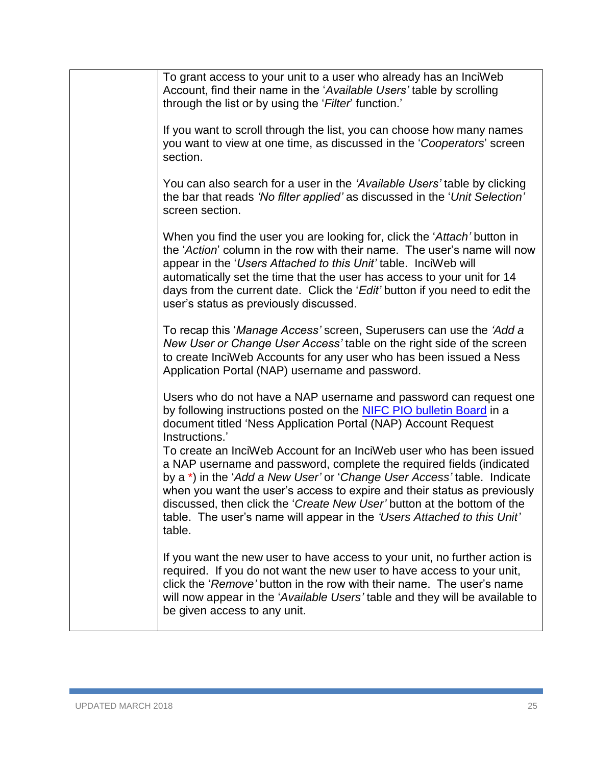| To grant access to your unit to a user who already has an InciWeb<br>Account, find their name in the 'Available Users' table by scrolling<br>through the list or by using the 'Filter' function.'                                                                                                                                                                                                                                                                   |
|---------------------------------------------------------------------------------------------------------------------------------------------------------------------------------------------------------------------------------------------------------------------------------------------------------------------------------------------------------------------------------------------------------------------------------------------------------------------|
| If you want to scroll through the list, you can choose how many names<br>you want to view at one time, as discussed in the 'Cooperators' screen<br>section.                                                                                                                                                                                                                                                                                                         |
| You can also search for a user in the 'Available Users' table by clicking<br>the bar that reads 'No filter applied' as discussed in the 'Unit Selection'<br>screen section.                                                                                                                                                                                                                                                                                         |
| When you find the user you are looking for, click the 'Attach' button in<br>the 'Action' column in the row with their name. The user's name will now<br>appear in the 'Users Attached to this Unit' table. InciWeb will<br>automatically set the time that the user has access to your unit for 14<br>days from the current date. Click the 'Edit' button if you need to edit the<br>user's status as previously discussed.                                         |
| To recap this 'Manage Access' screen, Superusers can use the 'Add a<br>New User or Change User Access' table on the right side of the screen<br>to create InciWeb Accounts for any user who has been issued a Ness<br>Application Portal (NAP) username and password.                                                                                                                                                                                               |
| Users who do not have a NAP username and password can request one<br>by following instructions posted on the NIFC PIO bulletin Board in a<br>document titled 'Ness Application Portal (NAP) Account Request<br>Instructions.'                                                                                                                                                                                                                                       |
| To create an InciWeb Account for an InciWeb user who has been issued<br>a NAP username and password, complete the required fields (indicated<br>by a *) in the 'Add a New User' or 'Change User Access' table. Indicate<br>when you want the user's access to expire and their status as previously<br>discussed, then click the 'Create New User' button at the bottom of the<br>table. The user's name will appear in the 'Users Attached to this Unit'<br>table. |
| If you want the new user to have access to your unit, no further action is<br>required. If you do not want the new user to have access to your unit,<br>click the 'Remove' button in the row with their name. The user's name<br>will now appear in the 'Available Users' table and they will be available to<br>be given access to any unit.                                                                                                                       |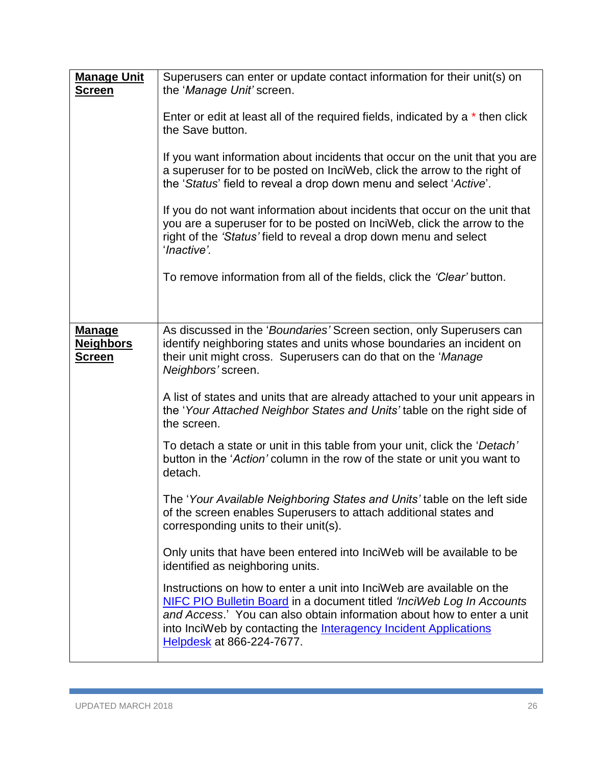<span id="page-25-1"></span><span id="page-25-0"></span>

| <b>Manage Unit</b><br><u>Screen</u>                | Superusers can enter or update contact information for their unit(s) on<br>the 'Manage Unit' screen.<br>Enter or edit at least all of the required fields, indicated by a * then click<br>the Save button.<br>If you want information about incidents that occur on the unit that you are<br>a superuser for to be posted on InciWeb, click the arrow to the right of<br>the 'Status' field to reveal a drop down menu and select 'Active'.<br>If you do not want information about incidents that occur on the unit that<br>you are a superuser for to be posted on InciWeb, click the arrow to the<br>right of the 'Status' field to reveal a drop down menu and select<br>'Inactive'.<br>To remove information from all of the fields, click the 'Clear' button.                                                                                                                                                                                                                                                                                                                                                                                                                          |
|----------------------------------------------------|----------------------------------------------------------------------------------------------------------------------------------------------------------------------------------------------------------------------------------------------------------------------------------------------------------------------------------------------------------------------------------------------------------------------------------------------------------------------------------------------------------------------------------------------------------------------------------------------------------------------------------------------------------------------------------------------------------------------------------------------------------------------------------------------------------------------------------------------------------------------------------------------------------------------------------------------------------------------------------------------------------------------------------------------------------------------------------------------------------------------------------------------------------------------------------------------|
| <b>Manage</b><br><b>Neighbors</b><br><u>Screen</u> | As discussed in the 'Boundaries' Screen section, only Superusers can<br>identify neighboring states and units whose boundaries an incident on<br>their unit might cross. Superusers can do that on the 'Manage<br>Neighbors' screen.<br>A list of states and units that are already attached to your unit appears in<br>the 'Your Attached Neighbor States and Units' table on the right side of<br>the screen.<br>To detach a state or unit in this table from your unit, click the 'Detach'<br>button in the 'Action' column in the row of the state or unit you want to<br>detach.<br>The 'Your Available Neighboring States and Units' table on the left side<br>of the screen enables Superusers to attach additional states and<br>corresponding units to their unit(s).<br>Only units that have been entered into InciWeb will be available to be<br>identified as neighboring units.<br>Instructions on how to enter a unit into InciWeb are available on the<br>NIFC PIO Bulletin Board in a document titled 'InciWeb Log In Accounts<br>and Access.' You can also obtain information about how to enter a unit<br>into InciWeb by contacting the Interagency Incident Applications |